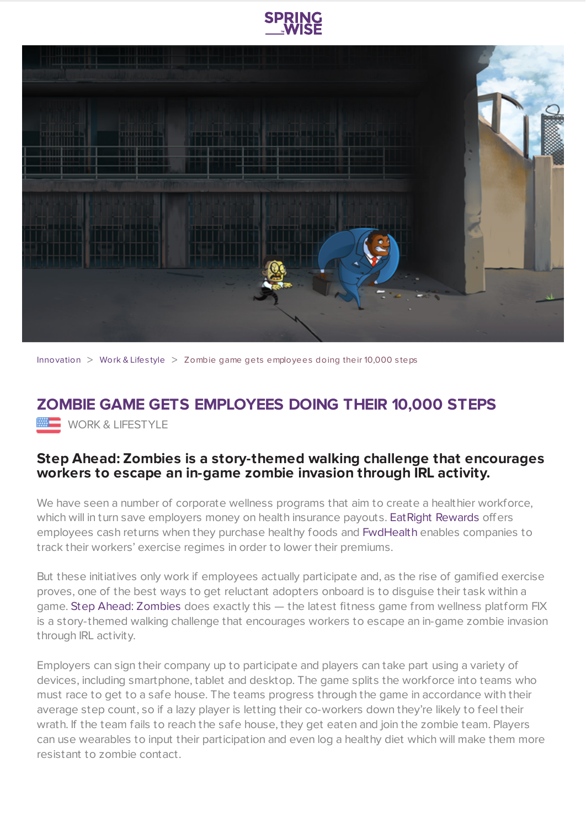



[Innovation](https://www.springwise.com/search?type=innovation)  $>$  [Work](https://www.springwise.com/search?type=innovation§or=work-lifestyle) & Lifestyle  $>$  Zombie game gets employees doing their 10,000 steps

## **ZOMBIE GAME GETS EMPLOYEES DOING THEIR 10,000 STEPS WORK & LIFESTYLE**

## **Step Ahead: Zombies is a story-themed walking challenge that encourages workers to escape an in-game zombie invasion through IRL activity.**

We have seen a number of corporate wellness programs that aim to create a healthier workforce, which will in turn save employers money on health insurance payouts. Eat Right [Rewards](https://www.springwise.com/insurance-policy-rewards-employees-healthy-shopping-choices-cash/) offers employees cash returns when they purchase healthy foods and [FwdHealth](https://www.springwise.com/tracking-employees-exercise-regimes-reduce-insurance-premiums/) enables companies to track their workers' exercise regimes in order to lower their premiums.

But these initiatives only work if employees actually participate and, as the rise of gamified exercise proves, one of the best ways to get reluctant adopters onboard is to disguise their task within a game. Step Ahead: [Zombies](http://www.astepaheadchallenge.com/a-step-ahead-zombies/) does exactly this — the latest fitness game from wellness platform FIX is a story-themed walking challenge that encourages workers to escape an in-game zombie invasion through IRL activity.

Employers can sign their company up to participate and players can take part using a variety of devices, including smartphone, tablet and desktop. The game splits the workforce into teams who must race to get to a safe house. The teams progress through the game in accordance with their average step count, so if a lazy player is letting their co-workers down they're likely to feel their wrath. If the team fails to reach the safe house, they get eaten and join the zombie team. Players can use wearables to input their participation and even log a healthy diet which will make them more resistant to zombie contact.